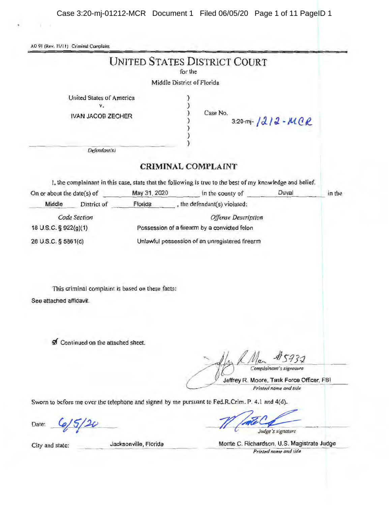AO 91 (Rev. 11/11) Criminal Complaint

Y. Y

|                                                                            |                                  |                                                  | <b>UNITED STATES DISTRICT COURT</b><br>for the                                                                                             |                            |                                                                     |        |
|----------------------------------------------------------------------------|----------------------------------|--------------------------------------------------|--------------------------------------------------------------------------------------------------------------------------------------------|----------------------------|---------------------------------------------------------------------|--------|
|                                                                            |                                  |                                                  | Middle District of Florida                                                                                                                 |                            |                                                                     |        |
| United States of America<br>٧.<br><b>IVAN JACOB ZECHER</b><br>Defendant(s) |                                  |                                                  | Case No.<br>3:20-m-1212-MCR                                                                                                                |                            |                                                                     |        |
|                                                                            |                                  |                                                  | <b>CRIMINAL COMPLAINT</b>                                                                                                                  |                            |                                                                     |        |
|                                                                            |                                  |                                                  |                                                                                                                                            |                            |                                                                     |        |
| On or about the date(s) of                                                 |                                  |                                                  | I, the complainant in this case, state that the following is true to the best of my knowledge and belief.<br>May 31, 2020 in the county of |                            | Duval                                                               | in the |
| Middle                                                                     | District of                      |                                                  | Florida , the defendant(s) violated:                                                                                                       |                            |                                                                     |        |
|                                                                            | Code Section                     |                                                  |                                                                                                                                            | <b>Offense Description</b> |                                                                     |        |
| 18 U.S.C. § 922(g)(1)                                                      |                                  | Possession of a firearm by a convicted felon     |                                                                                                                                            |                            |                                                                     |        |
| 26 U.S.C. § 5861(d)                                                        |                                  | Unlawful possession of an unregistered firearm   |                                                                                                                                            |                            |                                                                     |        |
| See attached affidavit.                                                    |                                  | This criminal complaint is based on these facts: |                                                                                                                                            |                            |                                                                     |        |
|                                                                            | Continued on the attached sheet. |                                                  |                                                                                                                                            |                            | 732                                                                 |        |
|                                                                            |                                  |                                                  |                                                                                                                                            |                            | Complainant's signature                                             |        |
|                                                                            |                                  |                                                  |                                                                                                                                            |                            | Jeffrey R. Moore, Task Force Officer, FBI<br>Printed name and title |        |
|                                                                            |                                  |                                                  | Sworn to before me over the telephone and signed by me pursuant to Fed.R.Crim. P. 4.1 and 4(d).                                            |                            |                                                                     |        |
| Date:                                                                      |                                  |                                                  |                                                                                                                                            |                            | Judge's signature                                                   |        |
| City and state:                                                            |                                  | Jacksonville, Florida                            |                                                                                                                                            |                            | Monte C. Richardson, U.S. Magistrate Judge                          |        |

cksonville, Florida

*Printed name and title*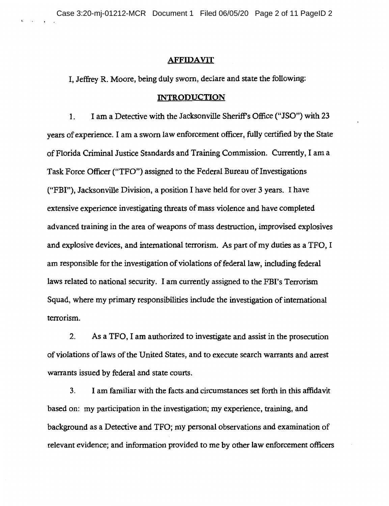## **AFFIDAVIT**

I, Jeffrey R. Moore, being duly sworn, declare and state the following:

## **INTRODUCTION**

1. I am a Detective with the Jacksonville Sheriff's Office ("JSO") with 23 years of experience. I am a sworn law enforcement officer, fully certified by the State of Florida Criminal Justice Standards and Training Commission. Currently, I am a Task Force Officer ("TFO") assigned to the Federal Bureau of Investigations ("FBI"), Jacksonville Division, a position I have held for over 3 years. I have extensive experience investigating threats of mass violence and have completed advanced training in the area of weapons of mass destruction, improvised explosives and explosive devices, and international terrorism. As part of my duties as a TFO, I am responsible for the investigation of violations of federal law, including federal laws related to national security. I am currently assigned to the FBI's Terrorism Squad, where my primary responsibilities include the investigation of international terrorism.

2. As a TFO, I am authorized to investigate and assist in the prosecution of violations oflaws of the United States, and to execute search warrants and arrest warrants issued by federal and state courts.

3. I am familiar with the facts .and circumstances set forth in this affidavit based on: my participation in the investigation; my experience, training, and background as a Detective and TFO; my personal observations and examination of relevant evidence; and information provided to me by other law enforcement officers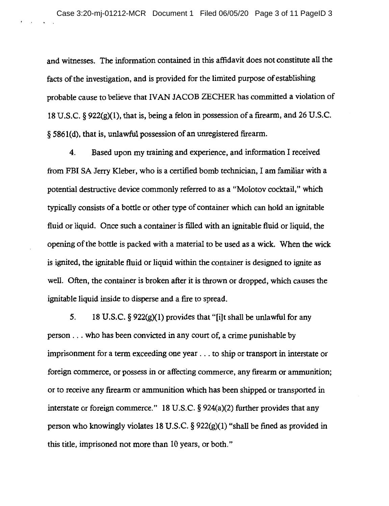and witnesses. The information contained in this affidavit does not constitute all the facts of the investigation, and is provided for the limited purpose of establishing probable cause to believe that IV AN JACOB ZECHER has committed a violation of 18 U.S.C. § 922(g)(l), that is, being a felon in possession of a firearm, and 26 U.S.C. § 5861 ( d), that is, unlawful possession of an umegistered firearm.

4. Based upon my training and experience, and information I received from FBI SA Jerry Kleber, who is a certified bomb technician, I am familiar with a potential destructive device commonly referred to as a "Molotov cocktail," which typically consists of a bottle or other type of container which can hold an ignitable fluid or liquid. Once such a container is filled with an ignitable fluid or liquid, the opening of the bottle is packed with a material to be used as a wick. When the wick is ignited, the ignitable fluid or liquid within the container is designed to ignite as well. Often, the container is broken after it is thrown or dropped, **which** causes the ignitable liquid inside to disperse and a fire to spread.

5. 18 U.S.C. § 922(g)(l) provides that "[i]t shall be unlawful for any person ... who has been convicted in any court of, a crime punishable by imprisonment for a term exceeding one year ... to ship or transport in interstate or foreign commerce, or possess in or affecting commerce, any firearm or ammunition; or to receive any firearm or ammunition which has been shipped or transported in interstate or foreign commerce." 18 U.S.C. § 924(a)(2) further provides that any person who knowingly violates 18 U.S.C.  $\S$  922(g)(1) "shall be fined as provided in this title, imprisoned not more than 10 years, or both."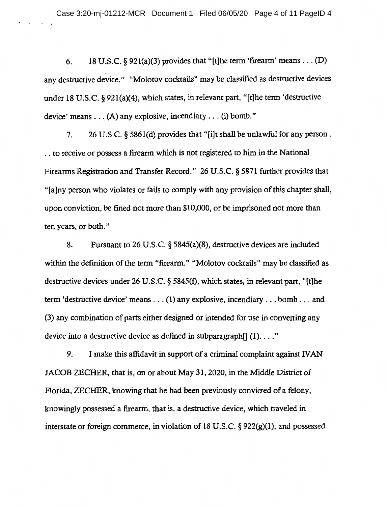6. 18 U.S.C. § 921(a)(3) provides that "[t]he term 'firearm' means . . . (D) any destructive device." "Molotov cocktails" may be classified as destructive devices under 18 U.S.C. § 92l(a)(4), which states, in relevant part, "[t]he term 'destructive device' means ... (A) any explosive, incendiary ... (i) bomb."

7. 26 U.S.C. § 586l(d) provides that "[i]t shall be unlawful for any person . . . to receive or possess a firearm which is not registered to him in the National Firearms Registration and Transfer Record." 26 U.S.C. § 5871 further provides that "(a]ny person who violates or fails to comply with any provision of this chapter shall, upon conviction, be fined not more than \$10,000, or be imprisoned not more than ten years, or both."

8. Pursuant to 26 U.S.C. § 5845(a)(8), destructive devices are included **within** the definition of the term "firearm." "Molotov cocktails" may be classified as destructive devices under 26 U.S.C. § 5845(f), which states, in relevant part, "[t]he term 'destructive device' means ... (1) any explosive, incendiary ... bomb ... and (3) any combination of parts either designed or intended for use in converting any device into a destructive device as defined in subparagraph $[1]$  (1)..."

9. I make this affidavit in support of a criminal complaint against IVAN JACOB ZECHER, that is, on or about May 31, 2020, in the Middle District of Florida, ZECHER, knowing that he had been previously convicted of a felony, knowingly possessed a firearm, that is, a destructive device, which traveled in interstate or foreign commerce, in violation of 18 U.S.C. § 922(g)(l), and possessed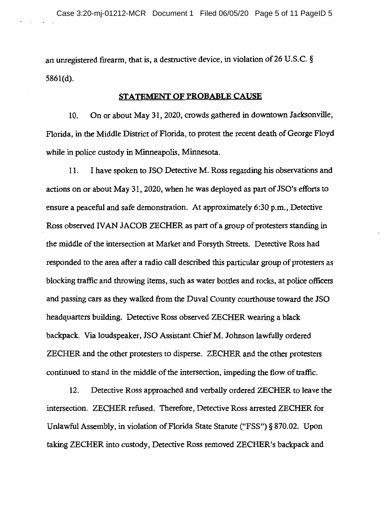an unregistered firearm, that is, a destructive device, in violation of 26 U.S.C. § 5861(d).

## **STATEMENT OF PROBABLE CAUSE**

10. On or about May 31, 2020, crowds gathered in downtown Jacksonville, Florida, in the Middle District of Florida, to protest the recent death of George Floyd while in police custody in Minneapolis, Minnesota.

11. I have spoken to JSO Detective M. Ross regarding his observations and actions on or about May 31, 2020, when he was deployed as part of JSO's efforts to ensure a peaceful and safe demonstration. At approximately 6:30 p.m., Detective Ross observed IVAN JACOB ZECHER as part of a group of protesters standing in the middle of the intersection at Market and Forsyth Streets. Detective Ross had responded to the area after a radio call described this particular group of protesters as blocking traffic and throwing items, such as water bottles and rocks, at police officers and passing cars as they walked from the Duval County courthouse toward the JSO headquarters building. Detective Ross observed ZECHER wearing a black backpack. Via loudspeaker, JSO Assistant ChiefM. Johnson lawfully ordered ZECHER and the other protesters to disperse. ZECHER and the other protesters continued to stand in the middle of the intersection, impeding the flow of traffic.

12. Detective Ross approached and verbally ordered ZECHER to leave the intersection. ZECHER refused. Therefore, Detective Ross arrested ZECHER for Unlawful Assembly, in violation of Florida State Statute ("FSS") § 870.02. Upon taking ZECHER into custody, Detective Ross removed ZECHER's backpack and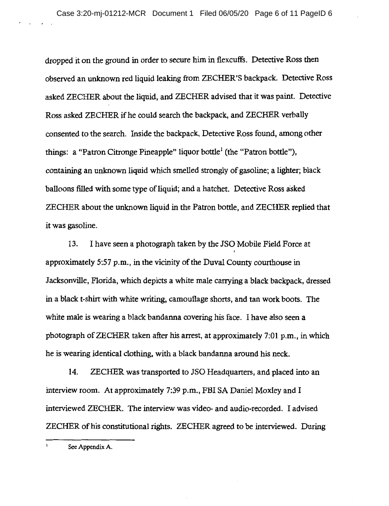dropped it on the ground in order to secure him in flexcuffs. Detective Ross then observed an unknown red liquid leaking from ZECHER'S backpack. Detective Ross asked ZECHER about the liquid, and ZECHER advised that it was paint. Detective Ross asked ZECHER if he could search the backpack, and ZECHER verbally consented to the search. Inside the backpack, Detective Ross found, among other things: a "Patron Citronge Pineapple" liquor bottle<sup>1</sup> (the "Patron bottle"), containing an unknown liquid which smelled strongly of gasoline; a lighter; black balloons filled with some type of liquid; and a hatchet. Detective Ross asked ZECHER about the unknown liquid in the Patron bottle, and ZECHER replied that it was gasoline.

13. I have seen a photograph taken by the JSO Mobile Field Force at approximately 5:57 p.m., in the vicinity of the Duval County courthouse in Jacksonville, Florida, which depicts a white male carrying a black backpack, dressed in a black t-shirt with white writing, camouflage shorts, and tan work boots. The white male is wearing a black bandanna covering his face. I have also seen a photograph of ZECHER taken after his arrest, at approximately 7:01 p.m., in which he is wearing identical clothing, with a black bandanna around his neck.

14. ZECHER was transported to JSO Headquarters, and placed into an interview room. At approximately 7:39 p.m., FBI SA Daniel Moxley and I interviewed ZECHER. The interview was video- and audio-recorded. I advised ZECHER of his constitutional rights. ZECHER agreed to be interviewed. During

See Appendix A.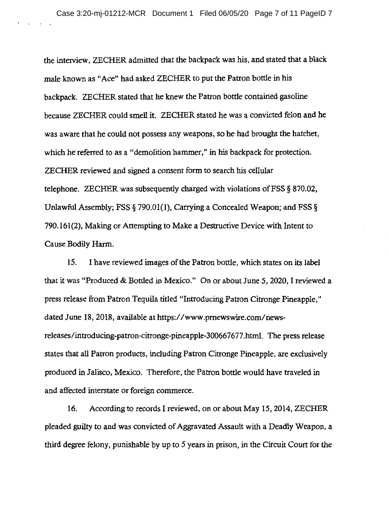the interview, ZECHER admitted that the backpack was his, and stated that a black male known as "Ace" had asked ZECHER to put the Patron bottle in his backpack. ZECHER stated that he knew the Patron bottle contained gasoline because ZECHER could smell it. ZECHER stated he was a convicted felon and he was aware that he could not possess any weapons, so he had brought the hatchet, which he referred to as a "demolition hammer," in his backpack for protection. ZECHER reviewed and signed a consent form to search his cellular telephone. ZECHER was subsequently charged with violations ofFSS § 870.02, Unlawful Assembly; PSS§ 790.01(1), Carrying a Concealed Weapon; and FSS § 790.161(2), Making or Attempting to Make a Destructive Device with Intent to Cause Bodily Harm.

15. I have reviewed images of the Patron bottle, which states on its label that it was "Produced & Bottled in Mexico." On or about June 5, 2020, I reviewed a press release from Patron Tequila titled "Introducing Patron Citronge Pineapple," dated June 18, 2018, available at https://www.pmewswire.com/newsreleases/introducing-patron-citronge-pineapple-300667677.html. The press release states that all Patron products, including Patron Citronge Pineapple, are exclusively produced in Jalisco, Mexico. Therefore, the Patron bottle would have traveled in and affected interstate or foreign commerce.

16. According to records I reviewed, on or about May 15, 2014, ZECHER pleaded guilty to and was convicted of Aggravated Assault with a Deadly Weapon, a third degree felony, punishable by up to *5* years in prison, in the Circuit Court for the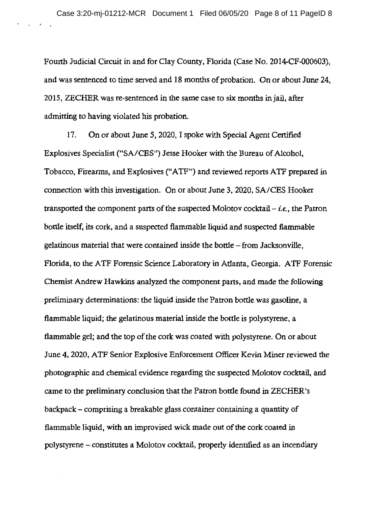$\mathcal{A}^{\mathcal{A}}$  and  $\mathcal{A}^{\mathcal{A}}$  and  $\mathcal{A}^{\mathcal{A}}$ 

Fourth Judicial Circuit in and for Clay County, Florida {Case No. 2014-CF-000603), and was sentenced to time served and 18 months of probation. On or about June 24, 2015, ZECHER was re-sentenced in the same case to six months in jail, after admitting to having violated his probation.

17. On or about June 5, 2020, I spoke with Special Agent Certified Explosives Specialist ("SA/CES") Jesse Hooker with the Bureau of Alcohol, Tobacco, Firearms, and Explosives (" A TF") and reviewed reports A TF prepared in connection with this investigation. On or about June 3, 2020, SA/CES Hooker transported the component parts of the suspected Molotov cocktail- *i.e.,* the Patron bottle itself, its cork, and a suspected flammable liquid and suspected flammable gelatinous material that were contained inside the bottle - from Jacksonville, Florida, to the ATF Forensic Science Laboratory in Atlanta, Georgia. ATF Forensic Chemist Andrew Hawkins analyzed the component parts, and made the following preliminary determinations: the liquid inside the Patron bottle was gasoline, a flammable liquid; the gelatinous material inside the bottle is polystyrene, a flammable gel; and the top of the cork was coated with polystyrene. On or about June 4, 2020, ATF Senior Explosive Enforcement Officer Kevin Miner reviewed the photographic and chemical evidence regarding the suspected Molotov cocktail, and came to the preliminary conclusion that the Patron bottle found in ZECHER's backpack - comprising a breakable glass container containing a quantity of flammable liquid, with an improvised wick made out of the cork coated in polystyrene- constitutes a Molotov cocktail, properly identified as an incendiary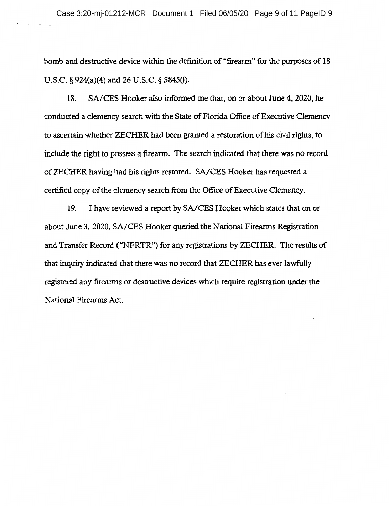bomb and destructive device within the definition of "firearm" for the purposes of 18 U.S.C. § 924(a)(4) and 26 U.S.C. § 5845(f).

18. SA/CES Hooker also informed me that, on or about June 4, 2020, he conducted a clemency search with the State of Florida Office of Executive Clemency to ascertain whether ZECHER had been granted a restoration of his civil rights, to include the right to possess a firearm. The search indicated that there was no record of ZECHER having had his rights restored. SA/CES Hooker has requested a certified copy of the clemency search from the Office of Executive Clemency.

19. I have reviewed a report by SA/CES Hooker which states that on or about June 3, 2020, SA/CES Hooker queried the National Firearms Registration and Transfer Record ("NFRTR") for any registrations by ZECHER. The results of that inquiry indicated that there was no record that ZECHER has ever lawfully registered any firearms or destructive devices which require registration under the National Firearms Act.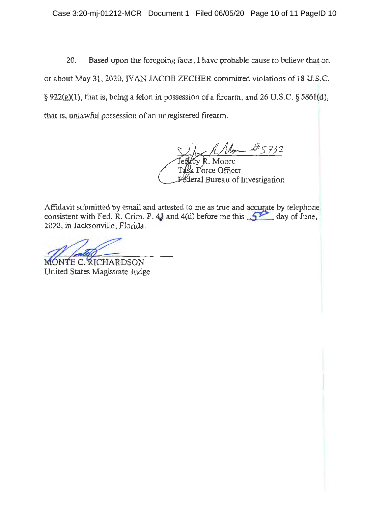20. Based upon the foregoing facts, I have probable cause to believe that on or about May 31, 2020, IVAN JACOB ZECHER committed violations of 18 U.S.C. § 922(g)(1), that is, being a felon in possession of a firearm, and 26 U.S.C. § 5861(d), that is, unlawful possession of an unregistered firearm.

 $45732$ y R. Moore Force Officer eral Bureau of Investigation

Affidavit submitted by email and attested to me as true and accurate by telephone consistent with Fed. R. Crim. P.  $4$  and  $4$ (d) before me this  $\sqrt{2}$  day of June. 2020, in Jacksonville, Florida. Affidavit submitted by email and attes<br>consistent with Fed. R. Crim. P. 4) are<br>2020, in Jacksonville, Florida.<br>MONTE C. RICHARDSON<br>United States Magistrate Judge

United States Magistrate Judge